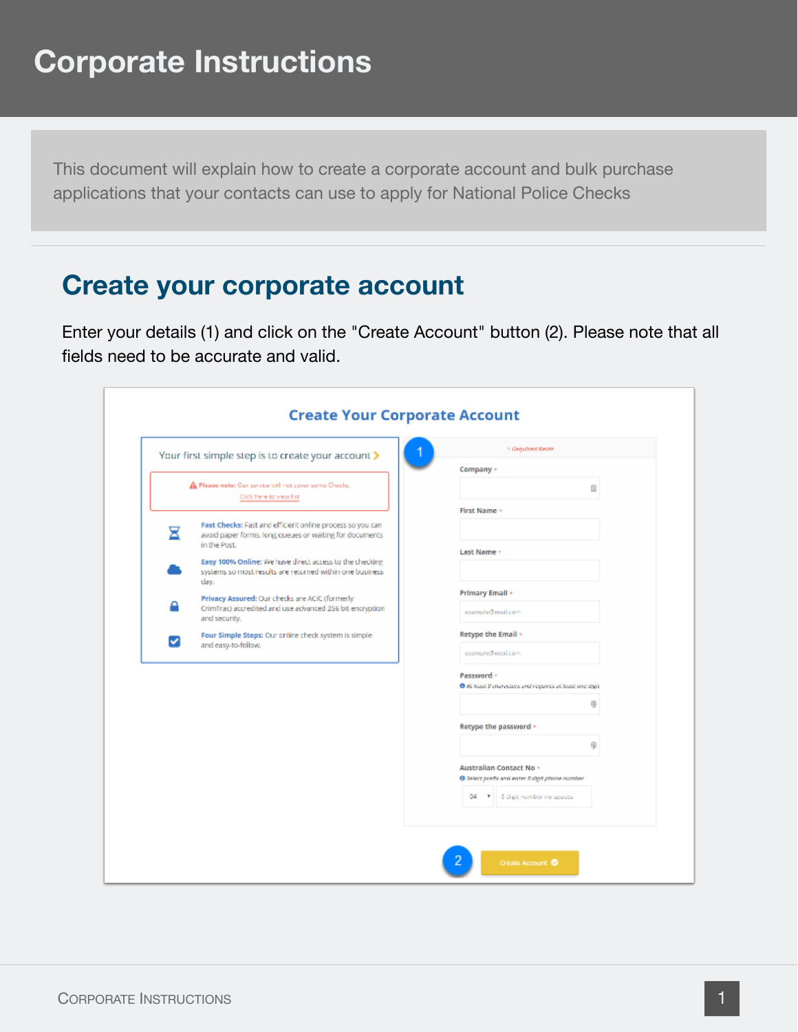This document will explain how to create a corporate account and bulk purchase applications that your contacts can use to apply for National Police Checks

#### **Create your corporate account**

Enter your details (1) and click on the "Create Account" button (2). Please note that all fields need to be accurate and valid.

|   | Your first simple step is to create your account >                                                                                   | * Regulred Neids                                          |
|---|--------------------------------------------------------------------------------------------------------------------------------------|-----------------------------------------------------------|
|   |                                                                                                                                      | Company +                                                 |
|   | A Please note: Our service will not cover some Checks.<br>Click here to view list                                                    | 田                                                         |
|   |                                                                                                                                      | <b>First Name +</b>                                       |
| ⊠ | Fast Checks: Fast and efficient online process so you can<br>avoid paper forms, long queues or waiting for documents<br>in the Post. |                                                           |
|   | Easy 100% Online: We have direct access to the checking                                                                              | Last Name +                                               |
|   | systems so most results are returned within one business.<br>day.                                                                    |                                                           |
|   | Privacy Assured: Our checks are ACIC (formerly                                                                                       | Primary Email +                                           |
|   | CrimTrac) accredited and use advanced 256 bit encryption<br>and security.                                                            | example@mail.com                                          |
| ◡ | Four Simple Steps: Our online check system is simple                                                                                 | Retype the Email +                                        |
|   | and easy-to-follow.                                                                                                                  | example@mail.com                                          |
|   |                                                                                                                                      | Password ·                                                |
|   |                                                                                                                                      | The At least 8 characters and requires at least one digit |
|   |                                                                                                                                      | Θ                                                         |
|   |                                                                                                                                      | Retype the password +                                     |
|   |                                                                                                                                      | $\oplus$                                                  |
|   |                                                                                                                                      | Australian Contact No +                                   |
|   |                                                                                                                                      | @ Select prefix and enter 8 digit phone number            |
|   |                                                                                                                                      | 04 7<br>8 digit number no spaces                          |
|   |                                                                                                                                      |                                                           |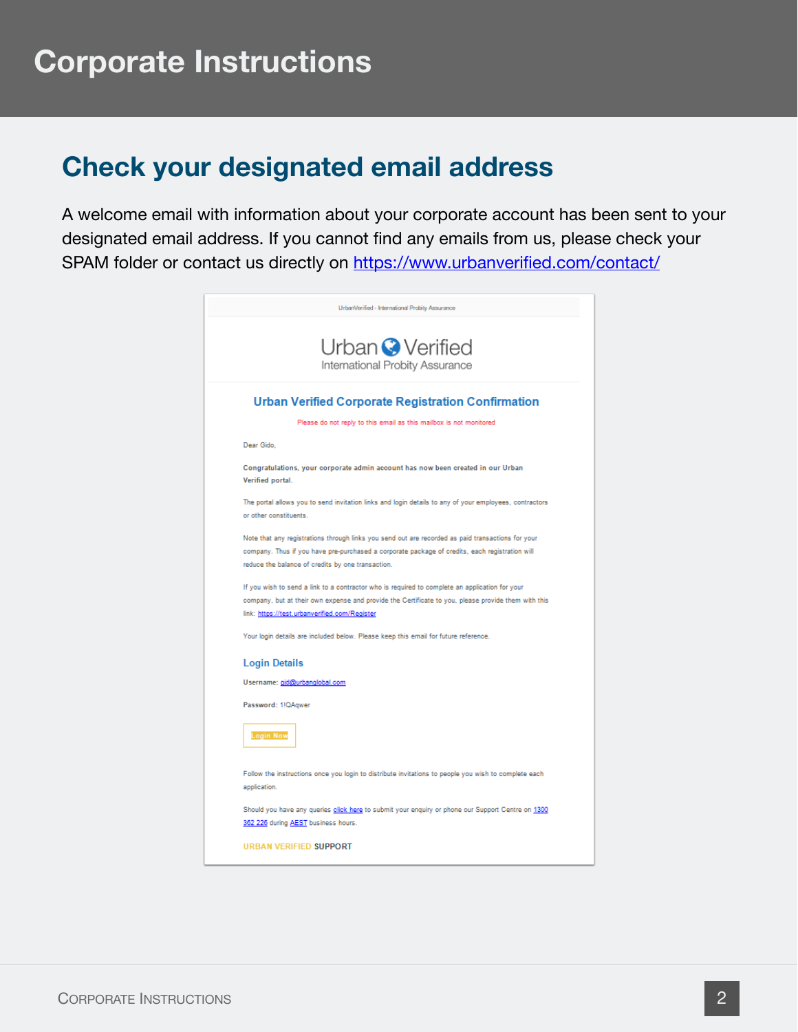#### **Check your designated email address**

A welcome email with information about your corporate account has been sent to your designated email address. If you cannot find any emails from us, please check your SPAM folder or contact us directly on <https://www.urbanverified.com/contact/>

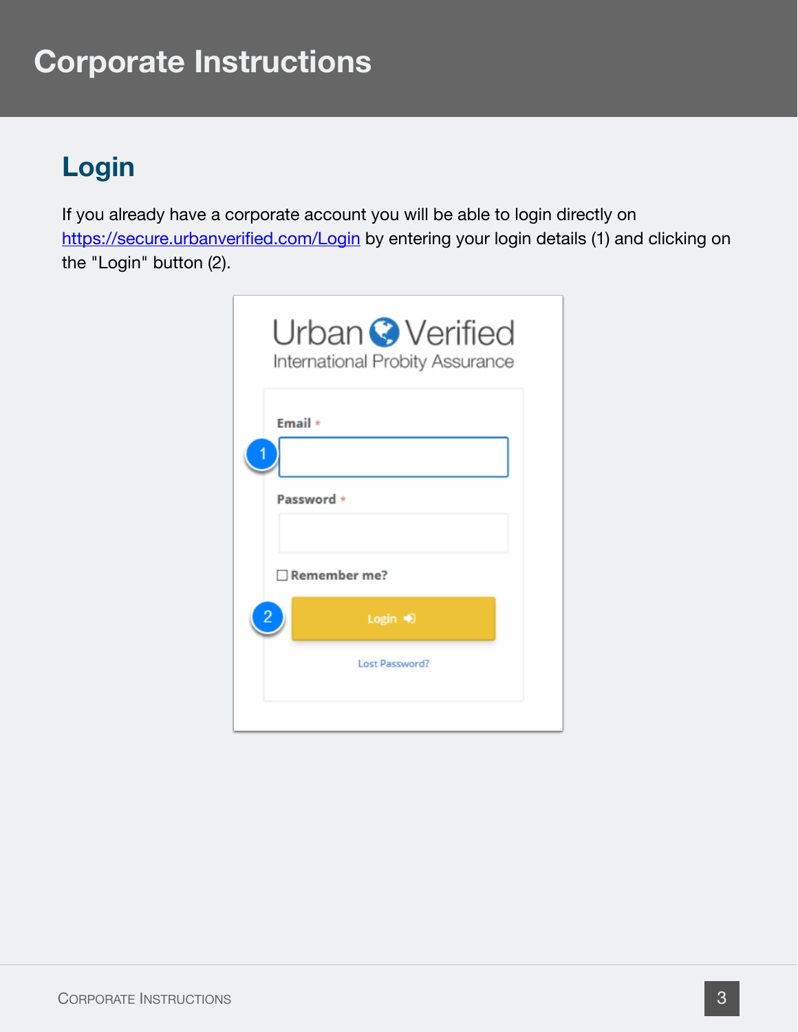### **Login**

If you already have a corporate account you will be able to login directly on <https://secure.urbanverified.com/Login> by entering your login details (1) and clicking on the "Login" button (2).

| Urban Verified<br>International Probity Assurance |  |
|---------------------------------------------------|--|
| Email $\star$<br>Password *                       |  |
| Remember me?                                      |  |
| Login +<br>Lost Password?                         |  |
|                                                   |  |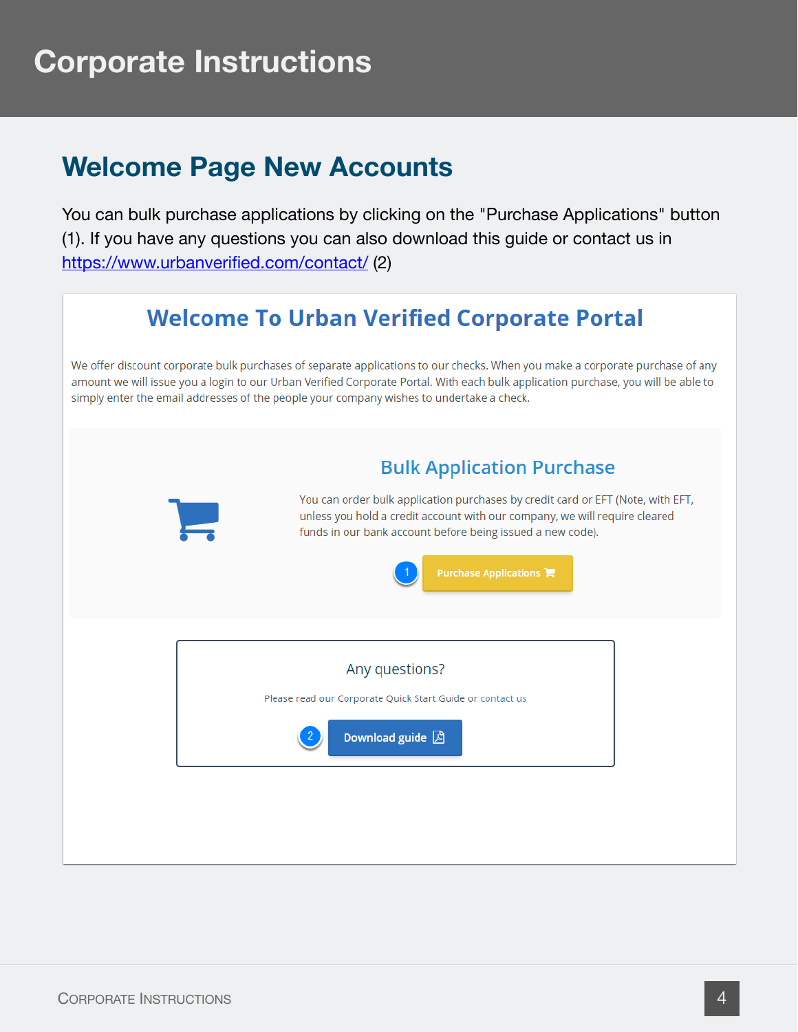#### **Welcome Page New Accounts**

You can bulk purchase applications by clicking on the "Purchase Applications" button (1). If you have any questions you can also download this guide or contact us in <https://www.urbanverified.com/contact/> (2)

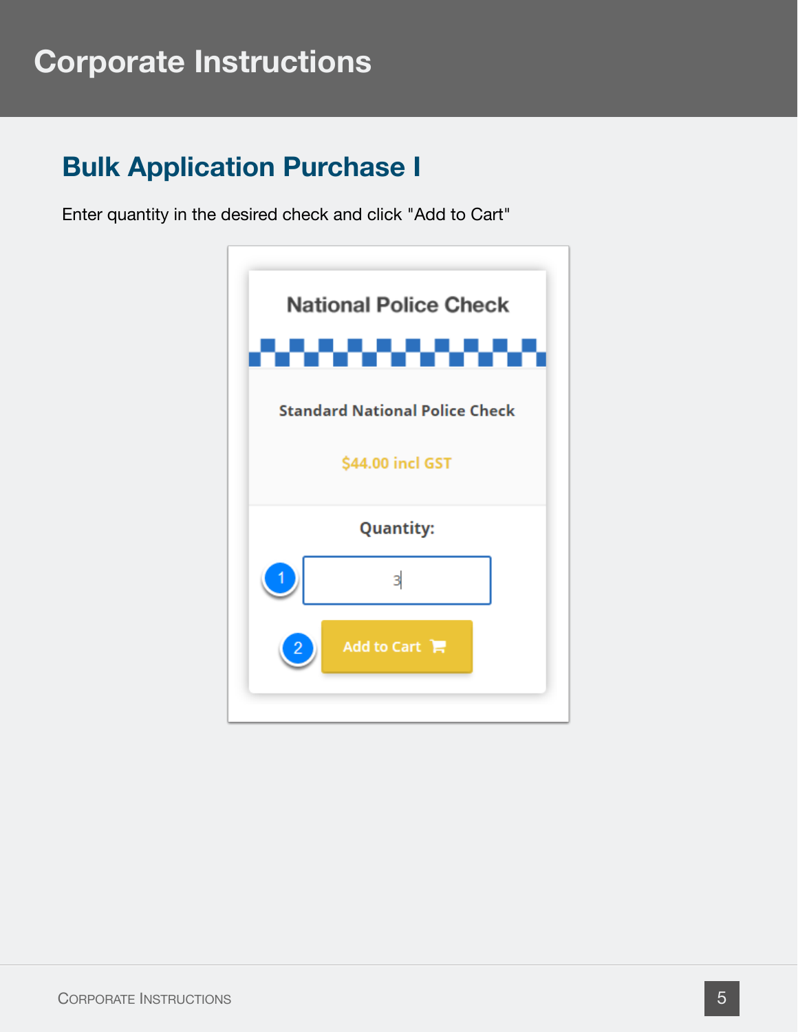#### **Bulk Application Purchase I**

Enter quantity in the desired check and click "Add to Cart"

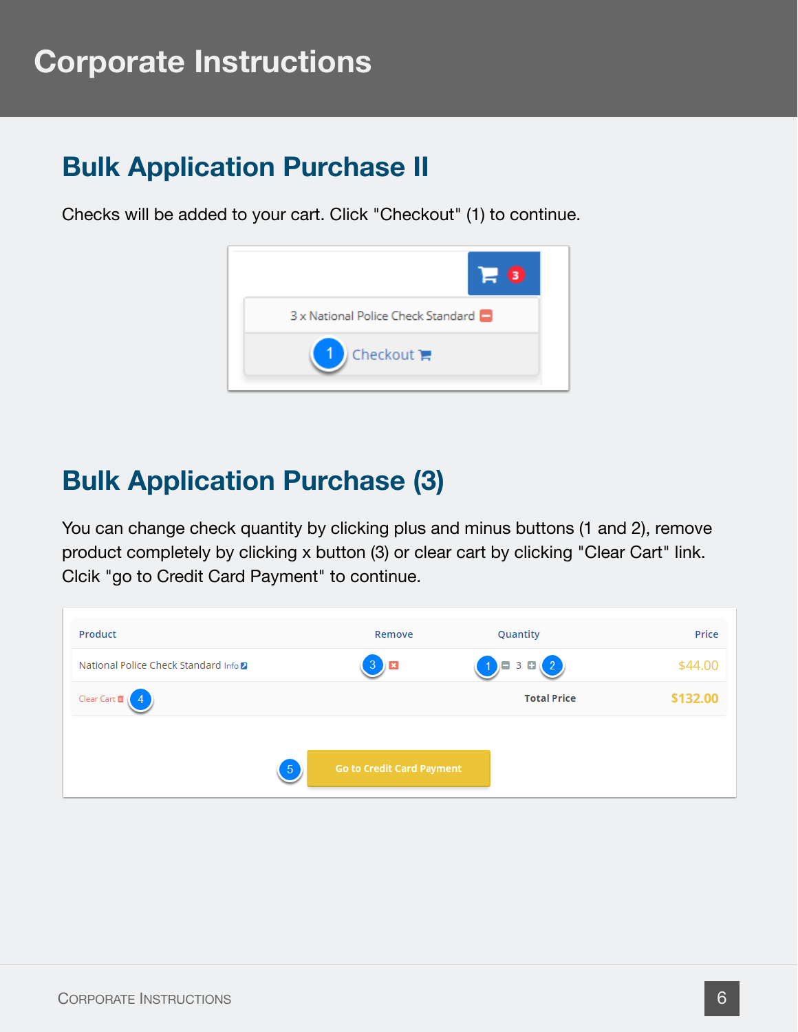#### **Bulk Application Purchase II**

Checks will be added to your cart. Click "Checkout" (1) to continue.



#### **Bulk Application Purchase (3)**

You can change check quantity by clicking plus and minus buttons (1 and 2), remove product completely by clicking x button (3) or clear cart by clicking "Clear Cart" link. Clcik "go to Credit Card Payment" to continue.

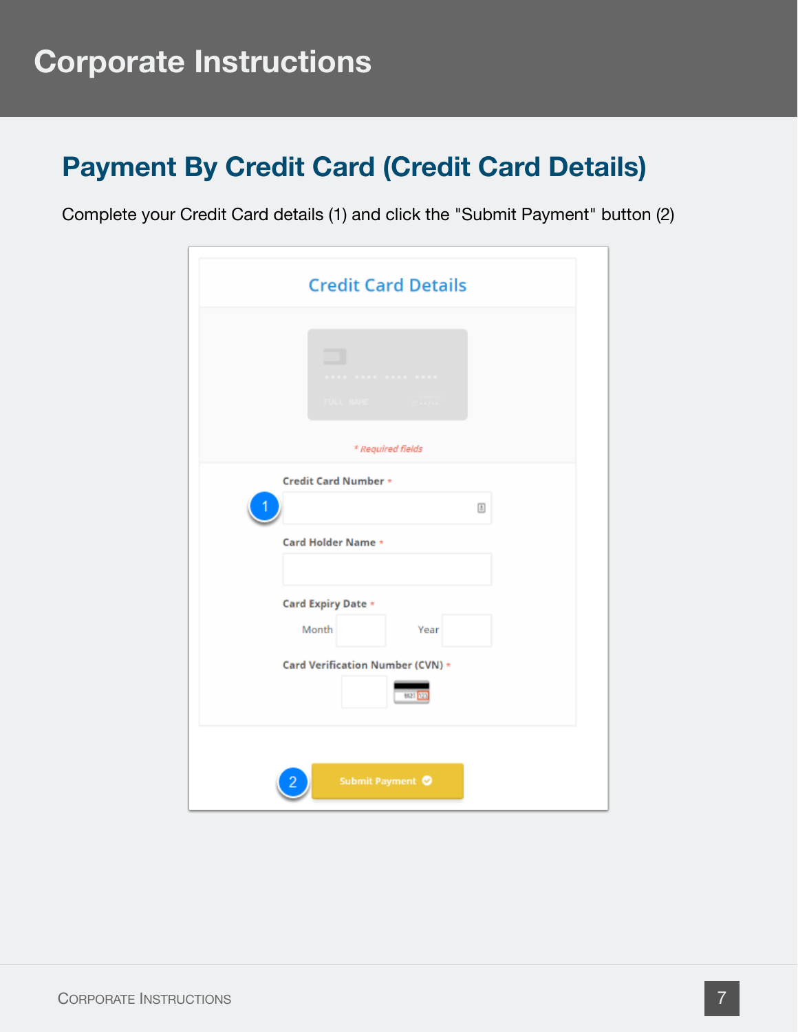### **Payment By Credit Card (Credit Card Details)**

Complete your Credit Card details (1) and click the "Submit Payment" button (2)

| <b>Credit Card Details</b>               |
|------------------------------------------|
|                                          |
|                                          |
| * Required fields                        |
| Credit Card Number *                     |
|                                          |
| Card Holder Name *                       |
| Card Expiry Date *                       |
| Month<br>Year                            |
| Card Verification Number (CVN) *<br>8627 |
| Submit Payment ©                         |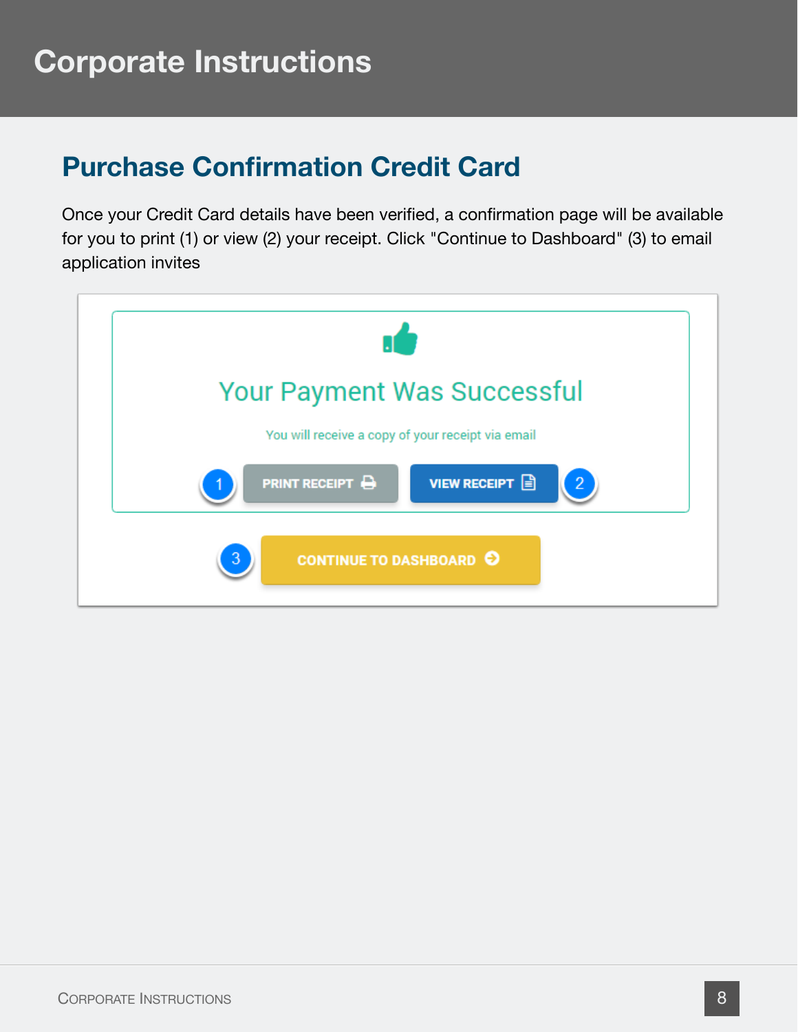### **Purchase Confirmation Credit Card**

Once your Credit Card details have been verified, a confirmation page will be available for you to print (1) or view (2) your receipt. Click "Continue to Dashboard" (3) to email application invites

![](_page_7_Picture_3.jpeg)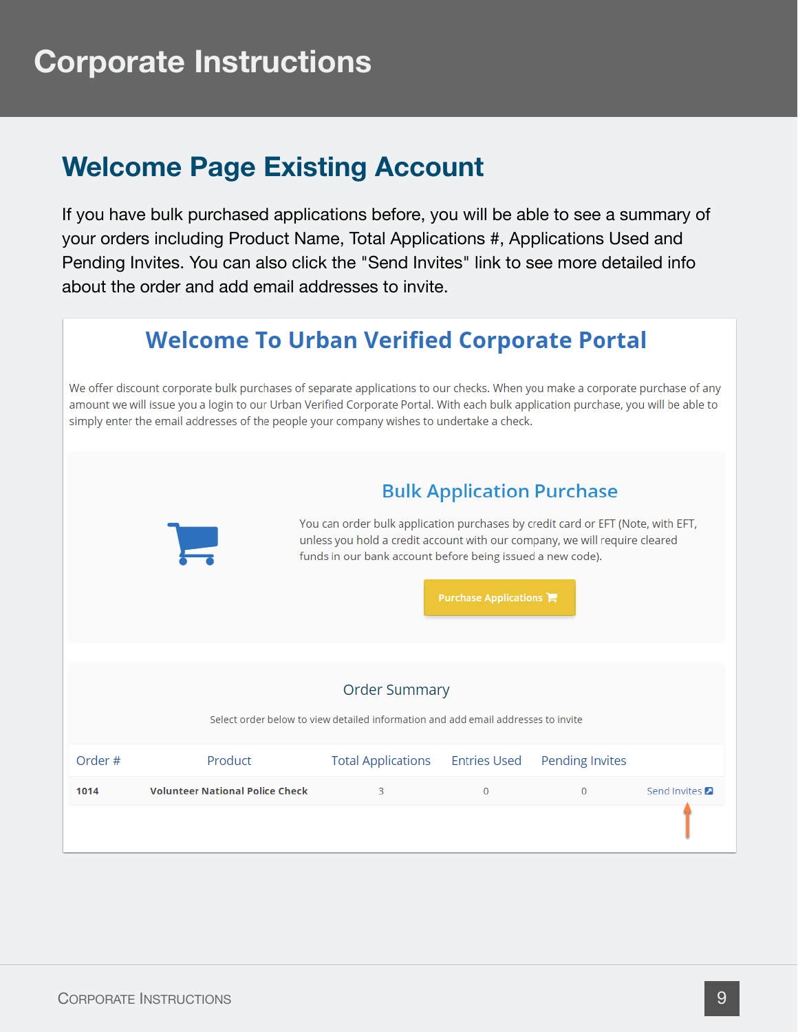### **Welcome Page Existing Account**

If you have bulk purchased applications before, you will be able to see a summary of your orders including Product Name, Total Applications #, Applications Used and Pending Invites. You can also click the "Send Invites" link to see more detailed info about the order and add email addresses to invite.

#### **Welcome To Urban Verified Corporate Portal**

We offer discount corporate bulk purchases of separate applications to our checks. When you make a corporate purchase of any amount we will issue you a login to our Urban Verified Corporate Portal. With each bulk application purchase, you will be able to simply enter the email addresses of the people your company wishes to undertake a check.

![](_page_8_Figure_5.jpeg)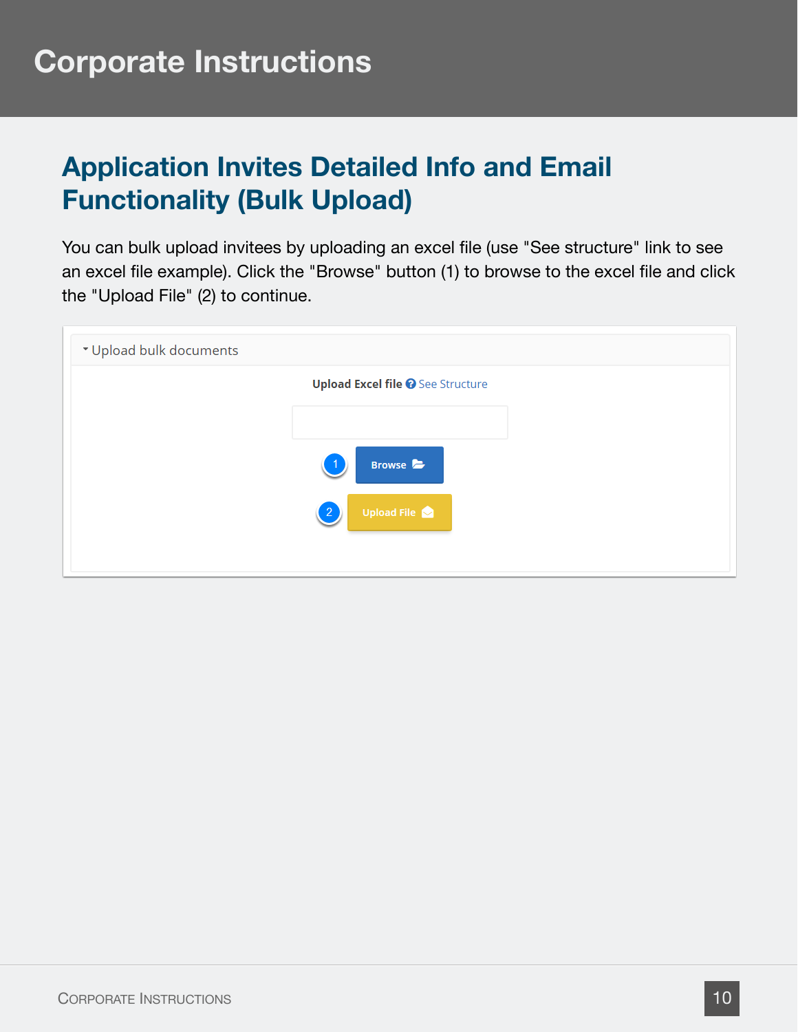### **Application Invites Detailed Info and Email Functionality (Bulk Upload)**

You can bulk upload invitees by uploading an excel file (use "See structure" link to see an excel file example). Click the "Browse" button (1) to browse to the excel file and click the "Upload File" (2) to continue.

| * Upload bulk documents |                                          |
|-------------------------|------------------------------------------|
|                         | <b>Upload Excel file @</b> See Structure |
|                         |                                          |
|                         | Browse <b>B</b>                          |
|                         | <b>Upload File</b><br>$\left 2\right $   |
|                         |                                          |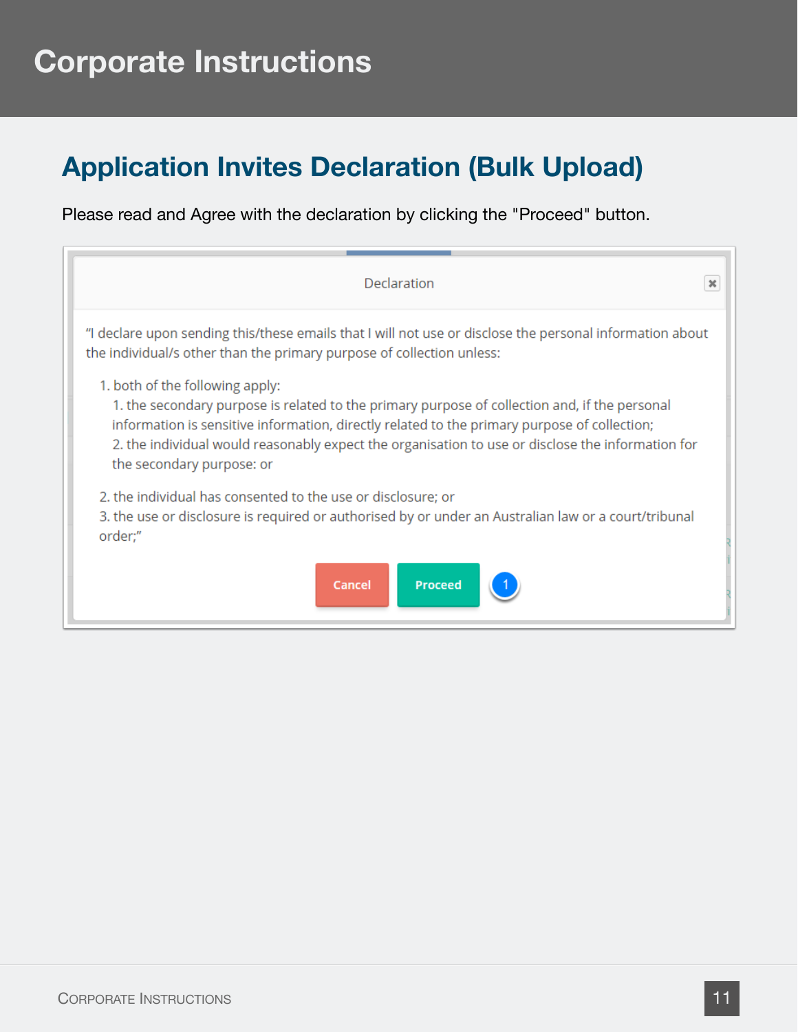### **Application Invites Declaration (Bulk Upload)**

Please read and Agree with the declaration by clicking the "Proceed" button.

| Declaration                                                                                                                                                                                                                                                                                                                                                        | $\boldsymbol{\times}$ |
|--------------------------------------------------------------------------------------------------------------------------------------------------------------------------------------------------------------------------------------------------------------------------------------------------------------------------------------------------------------------|-----------------------|
| "I declare upon sending this/these emails that I will not use or disclose the personal information about<br>the individual/s other than the primary purpose of collection unless:                                                                                                                                                                                  |                       |
| 1. both of the following apply:<br>1. the secondary purpose is related to the primary purpose of collection and, if the personal<br>information is sensitive information, directly related to the primary purpose of collection;<br>2. the individual would reasonably expect the organisation to use or disclose the information for<br>the secondary purpose: or |                       |
| 2. the individual has consented to the use or disclosure; or<br>3. the use or disclosure is required or authorised by or under an Australian law or a court/tribunal<br>order;"                                                                                                                                                                                    |                       |
| <b>Proceed</b><br>Cancel                                                                                                                                                                                                                                                                                                                                           |                       |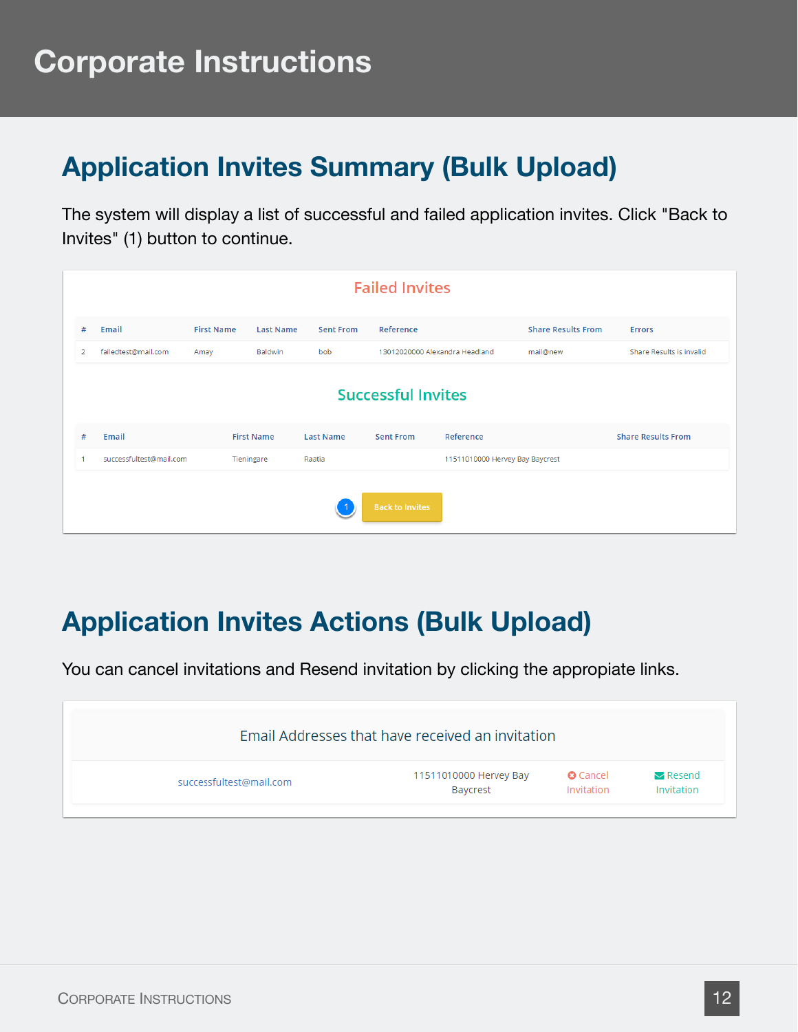### **Application Invites Summary (Bulk Upload)**

The system will display a list of successful and failed application invites. Click "Back to Invites" (1) button to continue.

|   |                         |                   |                   |                  | <b>Failed Invites</b>          |                                 |                           |                           |
|---|-------------------------|-------------------|-------------------|------------------|--------------------------------|---------------------------------|---------------------------|---------------------------|
| # | Email                   | <b>First Name</b> | <b>Last Name</b>  | <b>Sent From</b> | Reference                      |                                 | <b>Share Results From</b> | <b>Errors</b>             |
| 2 | failedtest@mail.com     | Amay              | Baldwin           | bob              | 13012020000 Alexandra Headland |                                 | mail@new                  | Share Results is invalid  |
|   |                         |                   |                   |                  | <b>Successful Invites</b>      |                                 |                           |                           |
| # | Email                   |                   | <b>First Name</b> | <b>Last Name</b> | <b>Sent From</b>               | Reference                       |                           | <b>Share Results From</b> |
|   | successfultest@mail.com |                   | Tieningare        | Raatia           |                                | 11511010000 Hervey Bay Baycrest |                           |                           |
|   |                         |                   |                   |                  | <b>Back to Invites</b>         |                                 |                           |                           |

### **Application Invites Actions (Bulk Upload)**

You can cancel invitations and Resend invitation by clicking the appropiate links.

|                         | Email Addresses that have received an invitation |                 |                       |
|-------------------------|--------------------------------------------------|-----------------|-----------------------|
| successfultest@mail.com | 11511010000 Hervey Bay                           | <b>O</b> Cancel | $\blacksquare$ Resend |
|                         | Baycrest                                         | Invitation      | Invitation            |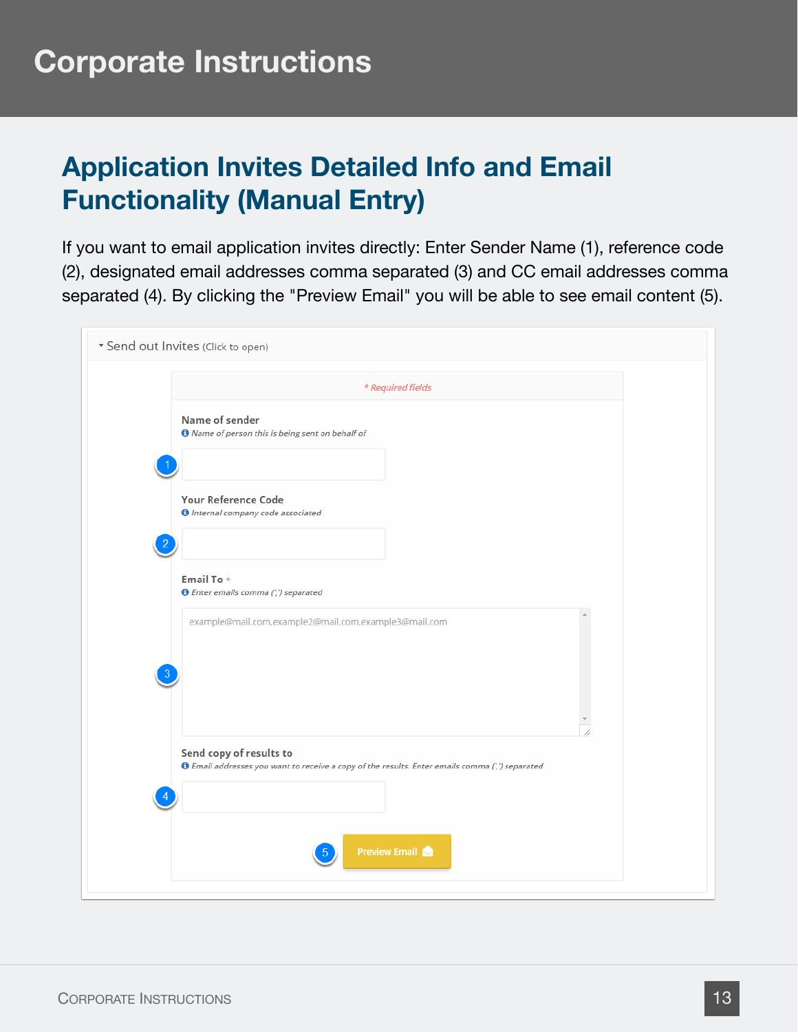### **Application Invites Detailed Info and Email Functionality (Manual Entry)**

If you want to email application invites directly: Enter Sender Name (1), reference code (2), designated email addresses comma separated (3) and CC email addresses comma separated (4). By clicking the "Preview Email" you will be able to see email content (5).

| * Send out Invites (Click to open)                                                                                                |
|-----------------------------------------------------------------------------------------------------------------------------------|
| * Required fields                                                                                                                 |
| <b>Name of sender</b><br><b>O</b> Name of person this is being sent on behalf of                                                  |
| <b>Your Reference Code</b><br><b>O</b> Internal company code associated                                                           |
| Email To *<br><b>O</b> Enter emails comma (',') separated<br>example@mail.com,example2@mail.com,example3@mail.com                 |
|                                                                                                                                   |
| Send copy of results to<br><b>O</b> Email addresses you want to receive a copy of the results. Enter emails comma (',') separated |
| <b>Preview Email</b>                                                                                                              |
|                                                                                                                                   |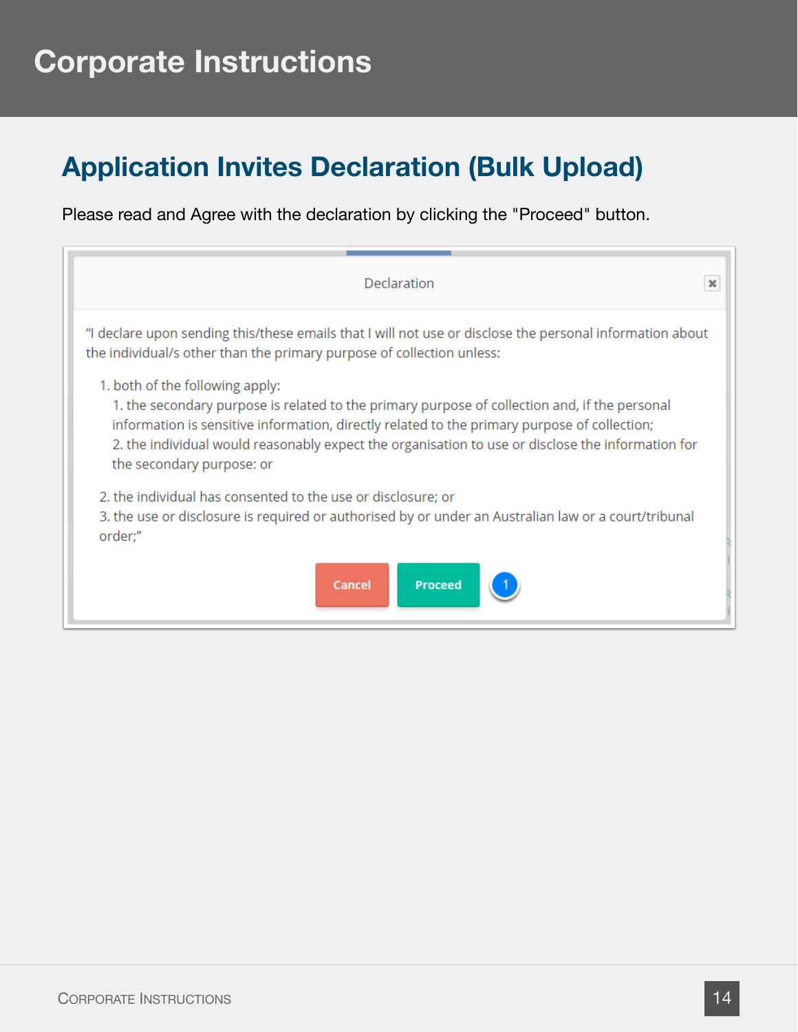### **Application Invites Declaration (Bulk Upload)**

Please read and Agree with the declaration by clicking the "Proceed" button.

| Declaration                                                                                                                                                                                                                                                                                                                                                        | $\boldsymbol{\times}$ |
|--------------------------------------------------------------------------------------------------------------------------------------------------------------------------------------------------------------------------------------------------------------------------------------------------------------------------------------------------------------------|-----------------------|
| "I declare upon sending this/these emails that I will not use or disclose the personal information about<br>the individual/s other than the primary purpose of collection unless:                                                                                                                                                                                  |                       |
| 1. both of the following apply:<br>1. the secondary purpose is related to the primary purpose of collection and, if the personal<br>information is sensitive information, directly related to the primary purpose of collection;<br>2. the individual would reasonably expect the organisation to use or disclose the information for<br>the secondary purpose: or |                       |
| 2. the individual has consented to the use or disclosure; or<br>3. the use or disclosure is required or authorised by or under an Australian law or a court/tribunal<br>order;"                                                                                                                                                                                    |                       |
| <b>Proceed</b><br>Cancel                                                                                                                                                                                                                                                                                                                                           |                       |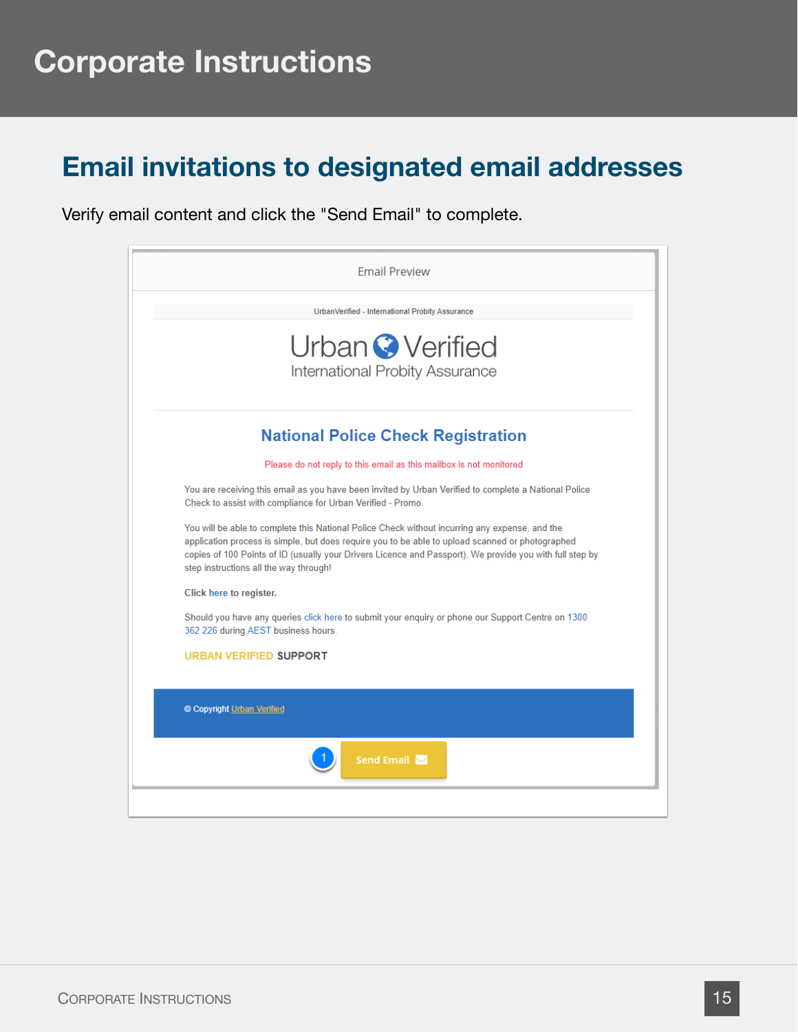#### **Email invitations to designated email addresses**

Verify email content and click the "Send Email" to complete.

![](_page_14_Picture_3.jpeg)